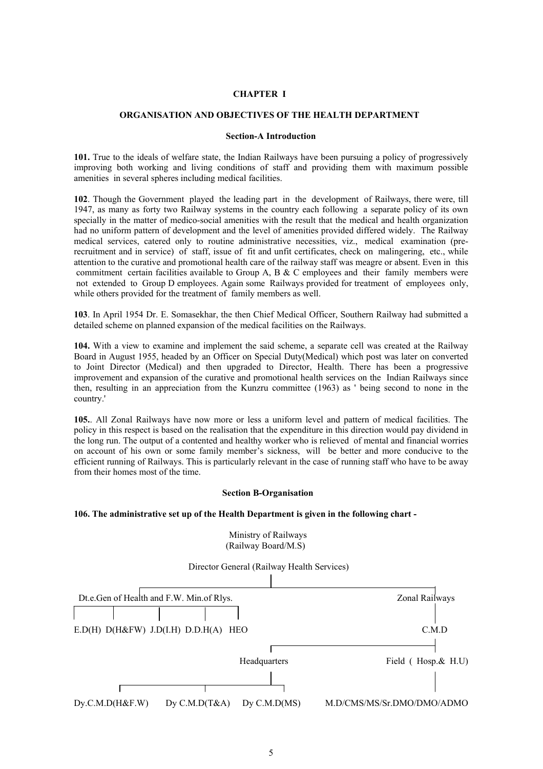### **CHAPTER I**

# **ORGANISATION AND OBJECTIVES OF THE HEALTH DEPARTMENT**

### **Section-A Introduction**

**101.** True to the ideals of welfare state, the Indian Railways have been pursuing a policy of progressively improving both working and living conditions of staff and providing them with maximum possible amenities in several spheres including medical facilities.

**102**. Though the Government played the leading part in the development of Railways, there were, till 1947, as many as forty two Railway systems in the country each following a separate policy of its own specially in the matter of medico-social amenities with the result that the medical and health organization had no uniform pattern of development and the level of amenities provided differed widely. The Railway medical services, catered only to routine administrative necessities, viz., medical examination (prerecruitment and in service) of staff, issue of fit and unfit certificates, check on malingering, etc., while attention to the curative and promotional health care of the railway staff was meagre or absent. Even in this commitment certain facilities available to Group A, B & C employees and their family members were not extended to Group D employees. Again some Railways provided for treatment of employees only, while others provided for the treatment of family members as well.

**103**. In April 1954 Dr. E. Somasekhar, the then Chief Medical Officer, Southern Railway had submitted a detailed scheme on planned expansion of the medical facilities on the Railways.

**104.** With a view to examine and implement the said scheme, a separate cell was created at the Railway Board in August 1955, headed by an Officer on Special Duty(Medical) which post was later on converted to Joint Director (Medical) and then upgraded to Director, Health. There has been a progressive improvement and expansion of the curative and promotional health services on the Indian Railways since then, resulting in an appreciation from the Kunzru committee (1963) as ' being second to none in the country.'

**105.**. All Zonal Railways have now more or less a uniform level and pattern of medical facilities. The policy in this respect is based on the realisation that the expenditure in this direction would pay dividend in the long run. The output of a contented and healthy worker who is relieved of mental and financial worries on account of his own or some family member's sickness, will be better and more conducive to the efficient running of Railways. This is particularly relevant in the case of running staff who have to be away from their homes most of the time.

## **Section B-Organisation**

#### **106. The administrative set up of the Health Department is given in the following chart -**



Ministry of Railways